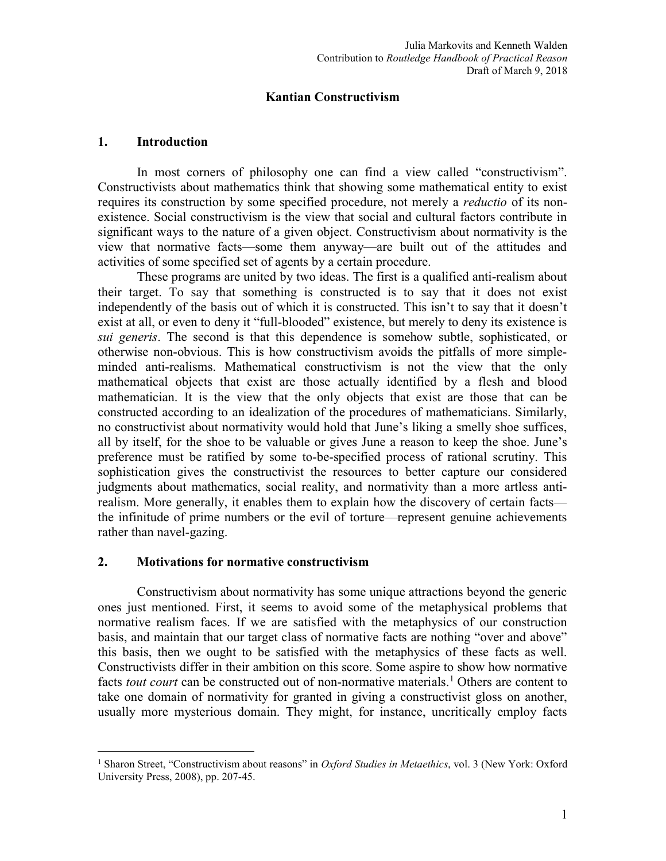# Kantian Constructivism

### 1. Introduction

 In most corners of philosophy one can find a view called "constructivism". Constructivists about mathematics think that showing some mathematical entity to exist requires its construction by some specified procedure, not merely a *reductio* of its nonexistence. Social constructivism is the view that social and cultural factors contribute in significant ways to the nature of a given object. Constructivism about normativity is the view that normative facts—some them anyway—are built out of the attitudes and activities of some specified set of agents by a certain procedure.

These programs are united by two ideas. The first is a qualified anti-realism about their target. To say that something is constructed is to say that it does not exist independently of the basis out of which it is constructed. This isn't to say that it doesn't exist at all, or even to deny it "full-blooded" existence, but merely to deny its existence is sui generis. The second is that this dependence is somehow subtle, sophisticated, or otherwise non-obvious. This is how constructivism avoids the pitfalls of more simpleminded anti-realisms. Mathematical constructivism is not the view that the only mathematical objects that exist are those actually identified by a flesh and blood mathematician. It is the view that the only objects that exist are those that can be constructed according to an idealization of the procedures of mathematicians. Similarly, no constructivist about normativity would hold that June's liking a smelly shoe suffices, all by itself, for the shoe to be valuable or gives June a reason to keep the shoe. June's preference must be ratified by some to-be-specified process of rational scrutiny. This sophistication gives the constructivist the resources to better capture our considered judgments about mathematics, social reality, and normativity than a more artless antirealism. More generally, it enables them to explain how the discovery of certain facts the infinitude of prime numbers or the evil of torture—represent genuine achievements rather than navel-gazing.

# 2. Motivations for normative constructivism

l

Constructivism about normativity has some unique attractions beyond the generic ones just mentioned. First, it seems to avoid some of the metaphysical problems that normative realism faces. If we are satisfied with the metaphysics of our construction basis, and maintain that our target class of normative facts are nothing "over and above" this basis, then we ought to be satisfied with the metaphysics of these facts as well. Constructivists differ in their ambition on this score. Some aspire to show how normative facts *tout court* can be constructed out of non-normative materials.<sup>1</sup> Others are content to take one domain of normativity for granted in giving a constructivist gloss on another, usually more mysterious domain. They might, for instance, uncritically employ facts

<sup>&</sup>lt;sup>1</sup> Sharon Street, "Constructivism about reasons" in *Oxford Studies in Metaethics*, vol. 3 (New York: Oxford University Press, 2008), pp. 207-45.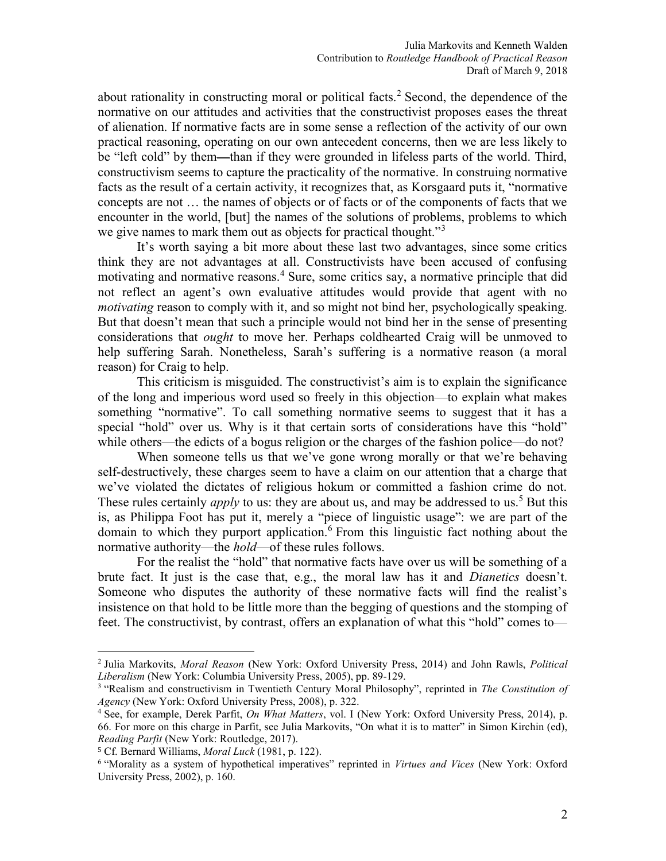about rationality in constructing moral or political facts.<sup>2</sup> Second, the dependence of the normative on our attitudes and activities that the constructivist proposes eases the threat of alienation. If normative facts are in some sense a reflection of the activity of our own practical reasoning, operating on our own antecedent concerns, then we are less likely to be "left cold" by them—than if they were grounded in lifeless parts of the world. Third, constructivism seems to capture the practicality of the normative. In construing normative facts as the result of a certain activity, it recognizes that, as Korsgaard puts it, "normative concepts are not … the names of objects or of facts or of the components of facts that we encounter in the world, [but] the names of the solutions of problems, problems to which we give names to mark them out as objects for practical thought."<sup>3</sup>

It's worth saying a bit more about these last two advantages, since some critics think they are not advantages at all. Constructivists have been accused of confusing motivating and normative reasons.<sup>4</sup> Sure, some critics say, a normative principle that did not reflect an agent's own evaluative attitudes would provide that agent with no motivating reason to comply with it, and so might not bind her, psychologically speaking. But that doesn't mean that such a principle would not bind her in the sense of presenting considerations that *ought* to move her. Perhaps coldhearted Craig will be unmoved to help suffering Sarah. Nonetheless, Sarah's suffering is a normative reason (a moral reason) for Craig to help.

This criticism is misguided. The constructivist's aim is to explain the significance of the long and imperious word used so freely in this objection—to explain what makes something "normative". To call something normative seems to suggest that it has a special "hold" over us. Why is it that certain sorts of considerations have this "hold" while others—the edicts of a bogus religion or the charges of the fashion police—do not?

When someone tells us that we've gone wrong morally or that we're behaving self-destructively, these charges seem to have a claim on our attention that a charge that we've violated the dictates of religious hokum or committed a fashion crime do not. These rules certainly *apply* to us: they are about us, and may be addressed to us.<sup>5</sup> But this is, as Philippa Foot has put it, merely a "piece of linguistic usage": we are part of the domain to which they purport application. From this linguistic fact nothing about the normative authority—the *hold*—of these rules follows.

For the realist the "hold" that normative facts have over us will be something of a brute fact. It just is the case that, e.g., the moral law has it and *Dianetics* doesn't. Someone who disputes the authority of these normative facts will find the realist's insistence on that hold to be little more than the begging of questions and the stomping of feet. The constructivist, by contrast, offers an explanation of what this "hold" comes to—

<sup>&</sup>lt;sup>2</sup> Julia Markovits, Moral Reason (New York: Oxford University Press, 2014) and John Rawls, Political Liberalism (New York: Columbia University Press, 2005), pp. 89-129.

<sup>&</sup>lt;sup>3</sup> "Realism and constructivism in Twentieth Century Moral Philosophy", reprinted in The Constitution of Agency (New York: Oxford University Press, 2008), p. 322.

<sup>&</sup>lt;sup>4</sup> See, for example, Derek Parfit, On What Matters, vol. I (New York: Oxford University Press, 2014), p. 66. For more on this charge in Parfit, see Julia Markovits, "On what it is to matter" in Simon Kirchin (ed), Reading Parfit (New York: Routledge, 2017).

<sup>&</sup>lt;sup>5</sup> Cf. Bernard Williams, *Moral Luck* (1981, p. 122).

<sup>&</sup>lt;sup>6</sup> "Morality as a system of hypothetical imperatives" reprinted in Virtues and Vices (New York: Oxford University Press, 2002), p. 160.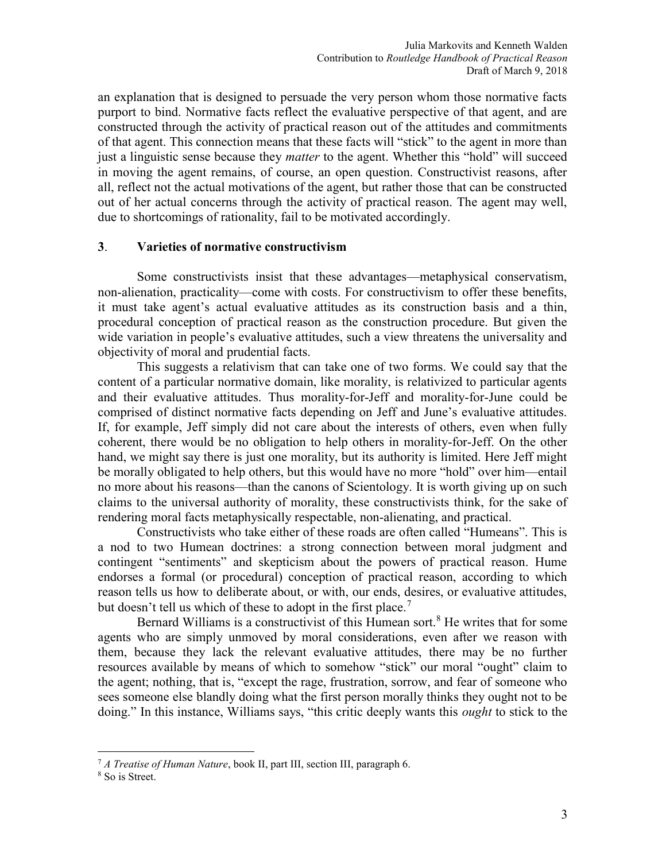an explanation that is designed to persuade the very person whom those normative facts purport to bind. Normative facts reflect the evaluative perspective of that agent, and are constructed through the activity of practical reason out of the attitudes and commitments of that agent. This connection means that these facts will "stick" to the agent in more than just a linguistic sense because they *matter* to the agent. Whether this "hold" will succeed in moving the agent remains, of course, an open question. Constructivist reasons, after all, reflect not the actual motivations of the agent, but rather those that can be constructed out of her actual concerns through the activity of practical reason. The agent may well, due to shortcomings of rationality, fail to be motivated accordingly.

## 3. Varieties of normative constructivism

Some constructivists insist that these advantages—metaphysical conservatism, non-alienation, practicality—come with costs. For constructivism to offer these benefits, it must take agent's actual evaluative attitudes as its construction basis and a thin, procedural conception of practical reason as the construction procedure. But given the wide variation in people's evaluative attitudes, such a view threatens the universality and objectivity of moral and prudential facts.

This suggests a relativism that can take one of two forms. We could say that the content of a particular normative domain, like morality, is relativized to particular agents and their evaluative attitudes. Thus morality-for-Jeff and morality-for-June could be comprised of distinct normative facts depending on Jeff and June's evaluative attitudes. If, for example, Jeff simply did not care about the interests of others, even when fully coherent, there would be no obligation to help others in morality-for-Jeff. On the other hand, we might say there is just one morality, but its authority is limited. Here Jeff might be morally obligated to help others, but this would have no more "hold" over him—entail no more about his reasons—than the canons of Scientology. It is worth giving up on such claims to the universal authority of morality, these constructivists think, for the sake of rendering moral facts metaphysically respectable, non-alienating, and practical.

Constructivists who take either of these roads are often called "Humeans". This is a nod to two Humean doctrines: a strong connection between moral judgment and contingent "sentiments" and skepticism about the powers of practical reason. Hume endorses a formal (or procedural) conception of practical reason, according to which reason tells us how to deliberate about, or with, our ends, desires, or evaluative attitudes, but doesn't tell us which of these to adopt in the first place.<sup>7</sup>

Bernard Williams is a constructivist of this Humean sort.<sup>8</sup> He writes that for some agents who are simply unmoved by moral considerations, even after we reason with them, because they lack the relevant evaluative attitudes, there may be no further resources available by means of which to somehow "stick" our moral "ought" claim to the agent; nothing, that is, "except the rage, frustration, sorrow, and fear of someone who sees someone else blandly doing what the first person morally thinks they ought not to be doing." In this instance, Williams says, "this critic deeply wants this *ought* to stick to the

 $7 A$  Treatise of Human Nature, book II, part III, section III, paragraph 6.

<sup>8</sup> So is Street.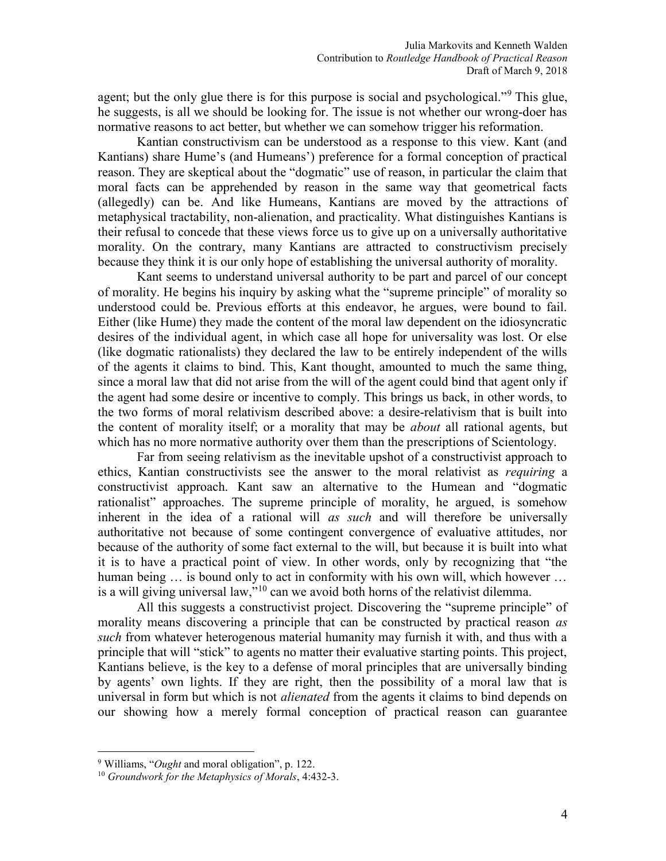agent; but the only glue there is for this purpose is social and psychological."<sup>9</sup> This glue, he suggests, is all we should be looking for. The issue is not whether our wrong-doer has normative reasons to act better, but whether we can somehow trigger his reformation.

Kantian constructivism can be understood as a response to this view. Kant (and Kantians) share Hume's (and Humeans') preference for a formal conception of practical reason. They are skeptical about the "dogmatic" use of reason, in particular the claim that moral facts can be apprehended by reason in the same way that geometrical facts (allegedly) can be. And like Humeans, Kantians are moved by the attractions of metaphysical tractability, non-alienation, and practicality. What distinguishes Kantians is their refusal to concede that these views force us to give up on a universally authoritative morality. On the contrary, many Kantians are attracted to constructivism precisely because they think it is our only hope of establishing the universal authority of morality.

Kant seems to understand universal authority to be part and parcel of our concept of morality. He begins his inquiry by asking what the "supreme principle" of morality so understood could be. Previous efforts at this endeavor, he argues, were bound to fail. Either (like Hume) they made the content of the moral law dependent on the idiosyncratic desires of the individual agent, in which case all hope for universality was lost. Or else (like dogmatic rationalists) they declared the law to be entirely independent of the wills of the agents it claims to bind. This, Kant thought, amounted to much the same thing, since a moral law that did not arise from the will of the agent could bind that agent only if the agent had some desire or incentive to comply. This brings us back, in other words, to the two forms of moral relativism described above: a desire-relativism that is built into the content of morality itself; or a morality that may be *about* all rational agents, but which has no more normative authority over them than the prescriptions of Scientology.

Far from seeing relativism as the inevitable upshot of a constructivist approach to ethics, Kantian constructivists see the answer to the moral relativist as requiring a constructivist approach. Kant saw an alternative to the Humean and "dogmatic rationalist" approaches. The supreme principle of morality, he argued, is somehow inherent in the idea of a rational will as such and will therefore be universally authoritative not because of some contingent convergence of evaluative attitudes, nor because of the authority of some fact external to the will, but because it is built into what it is to have a practical point of view. In other words, only by recognizing that "the human being ... is bound only to act in conformity with his own will, which however ... is a will giving universal law,"<sup>10</sup> can we avoid both horns of the relativist dilemma.

All this suggests a constructivist project. Discovering the "supreme principle" of morality means discovering a principle that can be constructed by practical reason as such from whatever heterogenous material humanity may furnish it with, and thus with a principle that will "stick" to agents no matter their evaluative starting points. This project, Kantians believe, is the key to a defense of moral principles that are universally binding by agents' own lights. If they are right, then the possibility of a moral law that is universal in form but which is not *alienated* from the agents it claims to bind depends on our showing how a merely formal conception of practical reason can guarantee

<sup>&</sup>lt;sup>9</sup> Williams, "Ought and moral obligation", p. 122.

<sup>&</sup>lt;sup>10</sup> Groundwork for the Metaphysics of Morals, 4:432-3.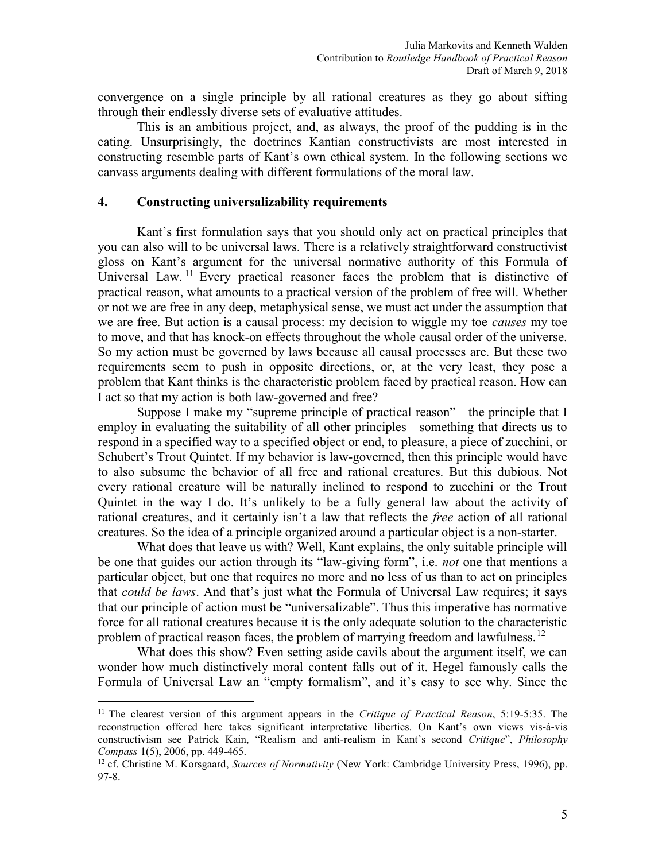convergence on a single principle by all rational creatures as they go about sifting through their endlessly diverse sets of evaluative attitudes.

This is an ambitious project, and, as always, the proof of the pudding is in the eating. Unsurprisingly, the doctrines Kantian constructivists are most interested in constructing resemble parts of Kant's own ethical system. In the following sections we canvass arguments dealing with different formulations of the moral law.

#### 4. Constructing universalizability requirements

Kant's first formulation says that you should only act on practical principles that you can also will to be universal laws. There is a relatively straightforward constructivist gloss on Kant's argument for the universal normative authority of this Formula of Universal Law. <sup>11</sup> Every practical reasoner faces the problem that is distinctive of practical reason, what amounts to a practical version of the problem of free will. Whether or not we are free in any deep, metaphysical sense, we must act under the assumption that we are free. But action is a causal process: my decision to wiggle my toe *causes* my toe to move, and that has knock-on effects throughout the whole causal order of the universe. So my action must be governed by laws because all causal processes are. But these two requirements seem to push in opposite directions, or, at the very least, they pose a problem that Kant thinks is the characteristic problem faced by practical reason. How can I act so that my action is both law-governed and free?

Suppose I make my "supreme principle of practical reason"—the principle that I employ in evaluating the suitability of all other principles—something that directs us to respond in a specified way to a specified object or end, to pleasure, a piece of zucchini, or Schubert's Trout Quintet. If my behavior is law-governed, then this principle would have to also subsume the behavior of all free and rational creatures. But this dubious. Not every rational creature will be naturally inclined to respond to zucchini or the Trout Quintet in the way I do. It's unlikely to be a fully general law about the activity of rational creatures, and it certainly isn't a law that reflects the *free* action of all rational creatures. So the idea of a principle organized around a particular object is a non-starter.

What does that leave us with? Well, Kant explains, the only suitable principle will be one that guides our action through its "law-giving form", i.e. not one that mentions a particular object, but one that requires no more and no less of us than to act on principles that *could be laws*. And that's just what the Formula of Universal Law requires; it says that our principle of action must be "universalizable". Thus this imperative has normative force for all rational creatures because it is the only adequate solution to the characteristic problem of practical reason faces, the problem of marrying freedom and lawfulness.<sup>12</sup>

What does this show? Even setting aside cavils about the argument itself, we can wonder how much distinctively moral content falls out of it. Hegel famously calls the Formula of Universal Law an "empty formalism", and it's easy to see why. Since the

<sup>&</sup>lt;sup>11</sup> The clearest version of this argument appears in the *Critique of Practical Reason*, 5:19-5:35. The reconstruction offered here takes significant interpretative liberties. On Kant's own views vis-à-vis constructivism see Patrick Kain, "Realism and anti-realism in Kant's second Critique", Philosophy Compass 1(5), 2006, pp. 449-465.

<sup>&</sup>lt;sup>12</sup> cf. Christine M. Korsgaard, *Sources of Normativity* (New York: Cambridge University Press, 1996), pp. 97-8.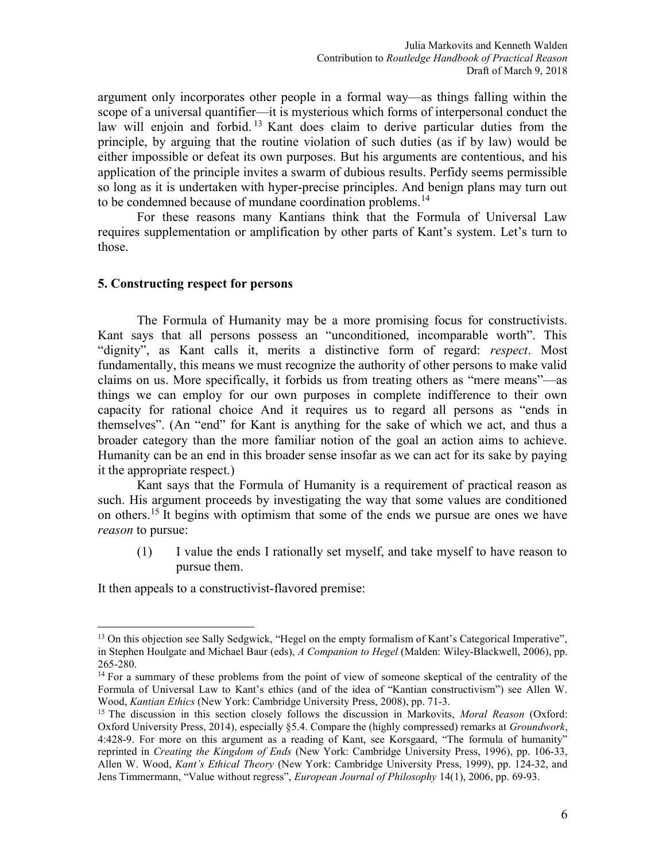argument only incorporates other people in a formal way—as things falling within the scope of a universal quantifier—it is mysterious which forms of interpersonal conduct the law will enjoin and forbid.<sup>13</sup> Kant does claim to derive particular duties from the principle, by arguing that the routine violation of such duties (as if by law) would be either impossible or defeat its own purposes. But his arguments are contentious, and his application of the principle invites a swarm of dubious results. Perfidy seems permissible so long as it is undertaken with hyper-precise principles. And benign plans may turn out to be condemned because of mundane coordination problems.<sup>14</sup>

For these reasons many Kantians think that the Formula of Universal Law requires supplementation or amplification by other parts of Kant's system. Let's turn to those.

## 5. Constructing respect for persons

The Formula of Humanity may be a more promising focus for constructivists. Kant says that all persons possess an "unconditioned, incomparable worth". This "dignity", as Kant calls it, merits a distinctive form of regard: *respect*. Most fundamentally, this means we must recognize the authority of other persons to make valid claims on us. More specifically, it forbids us from treating others as "mere means"—as things we can employ for our own purposes in complete indifference to their own capacity for rational choice And it requires us to regard all persons as "ends in themselves". (An "end" for Kant is anything for the sake of which we act, and thus a broader category than the more familiar notion of the goal an action aims to achieve. Humanity can be an end in this broader sense insofar as we can act for its sake by paying it the appropriate respect.)

Kant says that the Formula of Humanity is a requirement of practical reason as such. His argument proceeds by investigating the way that some values are conditioned on others.<sup>15</sup> It begins with optimism that some of the ends we pursue are ones we have reason to pursue:

(1) I value the ends I rationally set myself, and take myself to have reason to pursue them.

It then appeals to a constructivist-flavored premise:

 $13$  On this objection see Sally Sedgwick, "Hegel on the empty formalism of Kant's Categorical Imperative", in Stephen Houlgate and Michael Baur (eds), A Companion to Hegel (Malden: Wiley-Blackwell, 2006), pp. 265-280.

<sup>&</sup>lt;sup>14</sup> For a summary of these problems from the point of view of someone skeptical of the centrality of the Formula of Universal Law to Kant's ethics (and of the idea of "Kantian constructivism") see Allen W. Wood, Kantian Ethics (New York: Cambridge University Press, 2008), pp. 71-3.

<sup>&</sup>lt;sup>15</sup> The discussion in this section closely follows the discussion in Markovits, *Moral Reason* (Oxford: Oxford University Press, 2014), especially §5.4. Compare the (highly compressed) remarks at Groundwork, 4:428-9. For more on this argument as a reading of Kant, see Korsgaard, "The formula of humanity" reprinted in *Creating the Kingdom of Ends* (New York: Cambridge University Press, 1996), pp. 106-33, Allen W. Wood, Kant's Ethical Theory (New York: Cambridge University Press, 1999), pp. 124-32, and Jens Timmermann, "Value without regress", *European Journal of Philosophy* 14(1), 2006, pp. 69-93.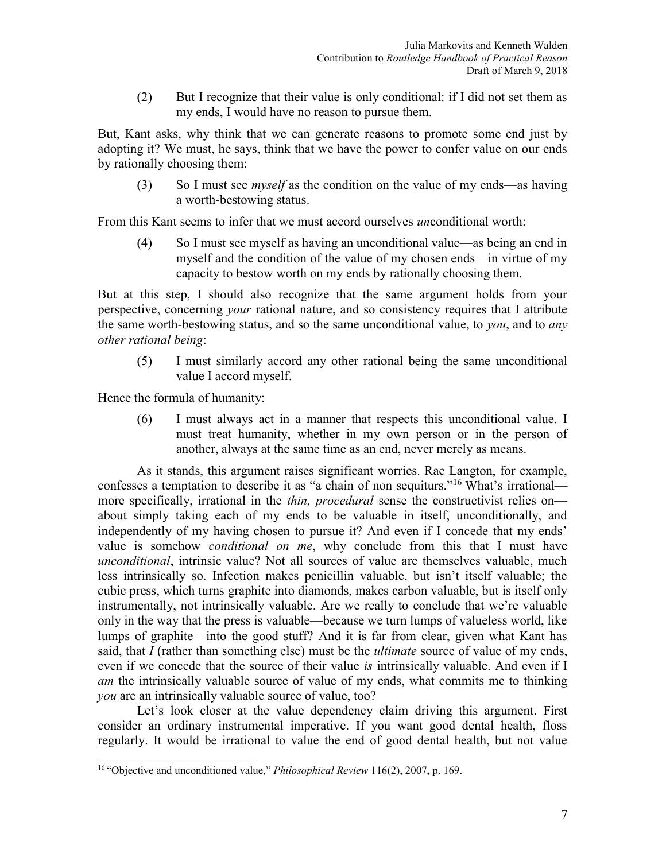(2) But I recognize that their value is only conditional: if I did not set them as my ends, I would have no reason to pursue them.

But, Kant asks, why think that we can generate reasons to promote some end just by adopting it? We must, he says, think that we have the power to confer value on our ends by rationally choosing them:

(3) So I must see *myself* as the condition on the value of my ends—as having a worth-bestowing status.

From this Kant seems to infer that we must accord ourselves unconditional worth:

(4) So I must see myself as having an unconditional value—as being an end in myself and the condition of the value of my chosen ends—in virtue of my capacity to bestow worth on my ends by rationally choosing them.

But at this step, I should also recognize that the same argument holds from your perspective, concerning your rational nature, and so consistency requires that I attribute the same worth-bestowing status, and so the same unconditional value, to *you*, and to *any* other rational being:

(5) I must similarly accord any other rational being the same unconditional value I accord myself.

Hence the formula of humanity:

l

(6) I must always act in a manner that respects this unconditional value. I must treat humanity, whether in my own person or in the person of another, always at the same time as an end, never merely as means.

As it stands, this argument raises significant worries. Rae Langton, for example, confesses a temptation to describe it as "a chain of non sequiturs."<sup>16</sup> What's irrational more specifically, irrational in the *thin, procedural* sense the constructivist relies on about simply taking each of my ends to be valuable in itself, unconditionally, and independently of my having chosen to pursue it? And even if I concede that my ends' value is somehow *conditional on me*, why conclude from this that I must have unconditional, intrinsic value? Not all sources of value are themselves valuable, much less intrinsically so. Infection makes penicillin valuable, but isn't itself valuable; the cubic press, which turns graphite into diamonds, makes carbon valuable, but is itself only instrumentally, not intrinsically valuable. Are we really to conclude that we're valuable only in the way that the press is valuable—because we turn lumps of valueless world, like lumps of graphite—into the good stuff? And it is far from clear, given what Kant has said, that I (rather than something else) must be the *ultimate* source of value of my ends, even if we concede that the source of their value is intrinsically valuable. And even if I am the intrinsically valuable source of value of my ends, what commits me to thinking you are an intrinsically valuable source of value, too?

Let's look closer at the value dependency claim driving this argument. First consider an ordinary instrumental imperative. If you want good dental health, floss regularly. It would be irrational to value the end of good dental health, but not value

<sup>&</sup>lt;sup>16</sup> "Objective and unconditioned value," *Philosophical Review* 116(2), 2007, p. 169.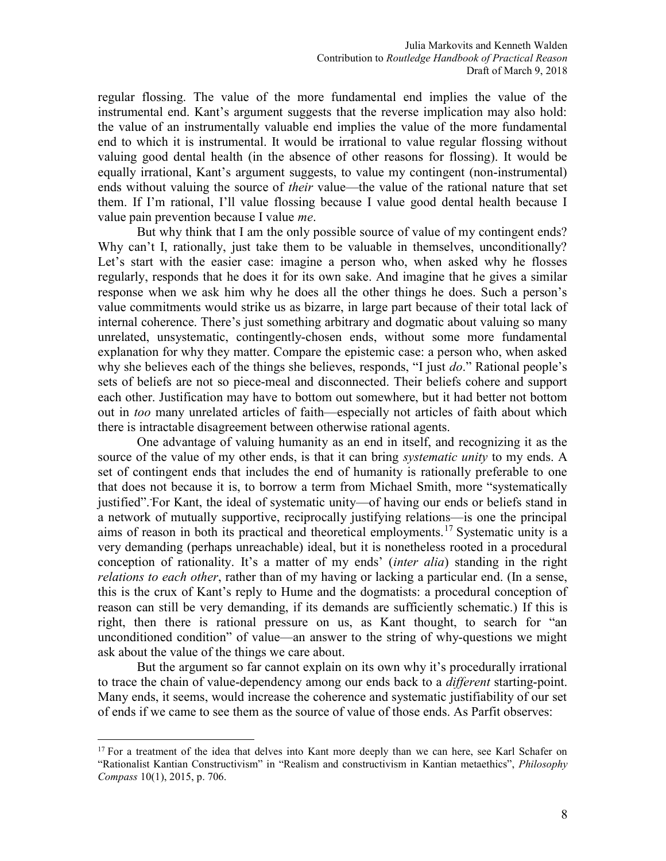regular flossing. The value of the more fundamental end implies the value of the instrumental end. Kant's argument suggests that the reverse implication may also hold: the value of an instrumentally valuable end implies the value of the more fundamental end to which it is instrumental. It would be irrational to value regular flossing without valuing good dental health (in the absence of other reasons for flossing). It would be equally irrational, Kant's argument suggests, to value my contingent (non-instrumental) ends without valuing the source of *their* value—the value of the rational nature that set them. If I'm rational, I'll value flossing because I value good dental health because I value pain prevention because I value me.

But why think that I am the only possible source of value of my contingent ends? Why can't I, rationally, just take them to be valuable in themselves, unconditionally? Let's start with the easier case: imagine a person who, when asked why he flosses regularly, responds that he does it for its own sake. And imagine that he gives a similar response when we ask him why he does all the other things he does. Such a person's value commitments would strike us as bizarre, in large part because of their total lack of internal coherence. There's just something arbitrary and dogmatic about valuing so many unrelated, unsystematic, contingently-chosen ends, without some more fundamental explanation for why they matter. Compare the epistemic case: a person who, when asked why she believes each of the things she believes, responds, "I just do." Rational people's sets of beliefs are not so piece-meal and disconnected. Their beliefs cohere and support each other. Justification may have to bottom out somewhere, but it had better not bottom out in too many unrelated articles of faith—especially not articles of faith about which there is intractable disagreement between otherwise rational agents.

One advantage of valuing humanity as an end in itself, and recognizing it as the source of the value of my other ends, is that it can bring *systematic unity* to my ends. A set of contingent ends that includes the end of humanity is rationally preferable to one that does not because it is, to borrow a term from Michael Smith, more "systematically justified". For Kant, the ideal of systematic unity—of having our ends or beliefs stand in a network of mutually supportive, reciprocally justifying relations—is one the principal aims of reason in both its practical and theoretical employments.<sup>17</sup> Systematic unity is a very demanding (perhaps unreachable) ideal, but it is nonetheless rooted in a procedural conception of rationality. It's a matter of my ends' (inter alia) standing in the right relations to each other, rather than of my having or lacking a particular end. (In a sense, this is the crux of Kant's reply to Hume and the dogmatists: a procedural conception of reason can still be very demanding, if its demands are sufficiently schematic.) If this is right, then there is rational pressure on us, as Kant thought, to search for "an unconditioned condition" of value—an answer to the string of why-questions we might ask about the value of the things we care about.

But the argument so far cannot explain on its own why it's procedurally irrational to trace the chain of value-dependency among our ends back to a *different* starting-point. Many ends, it seems, would increase the coherence and systematic justifiability of our set of ends if we came to see them as the source of value of those ends. As Parfit observes:

<sup>&</sup>lt;sup>17</sup> For a treatment of the idea that delves into Kant more deeply than we can here, see Karl Schafer on "Rationalist Kantian Constructivism" in "Realism and constructivism in Kantian metaethics", Philosophy Compass 10(1), 2015, p. 706.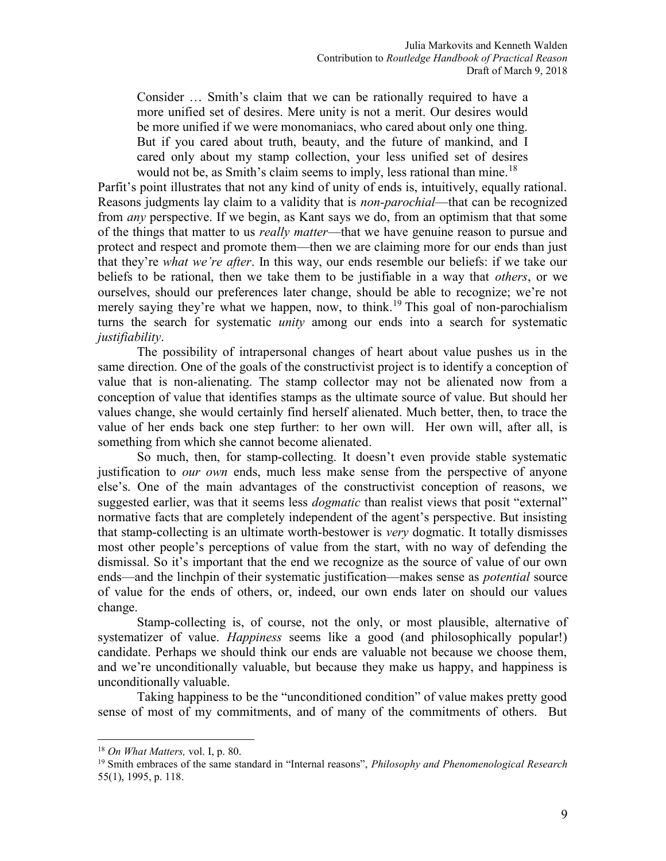Consider … Smith's claim that we can be rationally required to have a more unified set of desires. Mere unity is not a merit. Our desires would be more unified if we were monomaniacs, who cared about only one thing. But if you cared about truth, beauty, and the future of mankind, and I cared only about my stamp collection, your less unified set of desires would not be, as Smith's claim seems to imply, less rational than mine.<sup>18</sup>

Parfit's point illustrates that not any kind of unity of ends is, intuitively, equally rational. Reasons judgments lay claim to a validity that is *non-parochial*—that can be recognized from *any* perspective. If we begin, as Kant says we do, from an optimism that that some of the things that matter to us *really matter*—that we have genuine reason to pursue and protect and respect and promote them—then we are claiming more for our ends than just that they're *what we're after*. In this way, our ends resemble our beliefs: if we take our beliefs to be rational, then we take them to be justifiable in a way that *others*, or we ourselves, should our preferences later change, should be able to recognize; we're not merely saying they're what we happen, now, to think.<sup>19</sup> This goal of non-parochialism turns the search for systematic *unity* among our ends into a search for systematic justifiability.

The possibility of intrapersonal changes of heart about value pushes us in the same direction. One of the goals of the constructivist project is to identify a conception of value that is non-alienating. The stamp collector may not be alienated now from a conception of value that identifies stamps as the ultimate source of value. But should her values change, she would certainly find herself alienated. Much better, then, to trace the value of her ends back one step further: to her own will. Her own will, after all, is something from which she cannot become alienated.

So much, then, for stamp-collecting. It doesn't even provide stable systematic justification to *our own* ends, much less make sense from the perspective of anyone else's. One of the main advantages of the constructivist conception of reasons, we suggested earlier, was that it seems less *dogmatic* than realist views that posit "external" normative facts that are completely independent of the agent's perspective. But insisting that stamp-collecting is an ultimate worth-bestower is very dogmatic. It totally dismisses most other people's perceptions of value from the start, with no way of defending the dismissal. So it's important that the end we recognize as the source of value of our own ends—and the linchpin of their systematic justification—makes sense as *potential* source of value for the ends of others, or, indeed, our own ends later on should our values change.

Stamp-collecting is, of course, not the only, or most plausible, alternative of systematizer of value. *Happiness* seems like a good (and philosophically popular!) candidate. Perhaps we should think our ends are valuable not because we choose them, and we're unconditionally valuable, but because they make us happy, and happiness is unconditionally valuable.

Taking happiness to be the "unconditioned condition" of value makes pretty good sense of most of my commitments, and of many of the commitments of others. But

 $18$  On What Matters, vol. I, p. 80.

 $19$  Smith embraces of the same standard in "Internal reasons", *Philosophy and Phenomenological Research* 55(1), 1995, p. 118.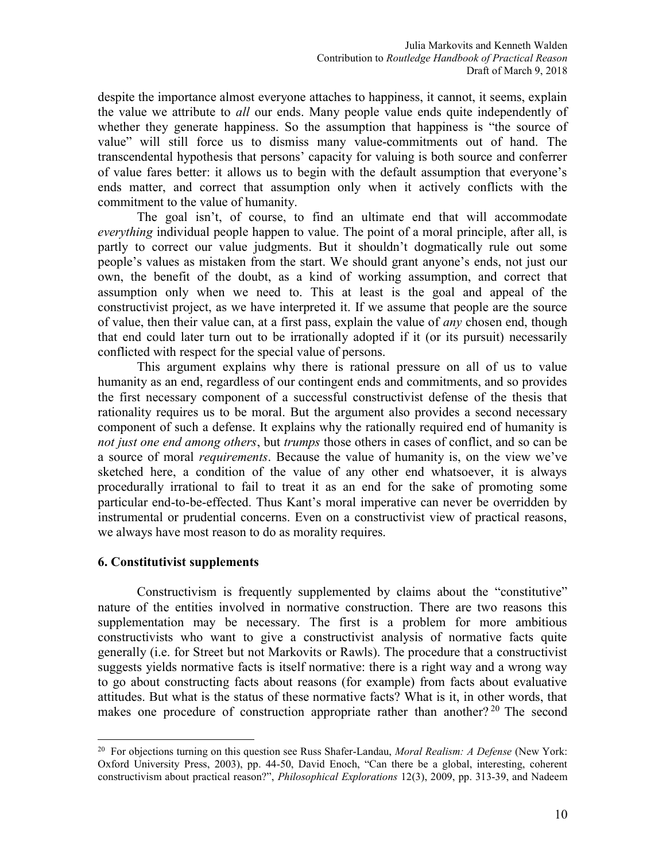despite the importance almost everyone attaches to happiness, it cannot, it seems, explain the value we attribute to *all* our ends. Many people value ends quite independently of whether they generate happiness. So the assumption that happiness is "the source of value" will still force us to dismiss many value-commitments out of hand. The transcendental hypothesis that persons' capacity for valuing is both source and conferrer of value fares better: it allows us to begin with the default assumption that everyone's ends matter, and correct that assumption only when it actively conflicts with the commitment to the value of humanity.

The goal isn't, of course, to find an ultimate end that will accommodate everything individual people happen to value. The point of a moral principle, after all, is partly to correct our value judgments. But it shouldn't dogmatically rule out some people's values as mistaken from the start. We should grant anyone's ends, not just our own, the benefit of the doubt, as a kind of working assumption, and correct that assumption only when we need to. This at least is the goal and appeal of the constructivist project, as we have interpreted it. If we assume that people are the source of value, then their value can, at a first pass, explain the value of *any* chosen end, though that end could later turn out to be irrationally adopted if it (or its pursuit) necessarily conflicted with respect for the special value of persons.

This argument explains why there is rational pressure on all of us to value humanity as an end, regardless of our contingent ends and commitments, and so provides the first necessary component of a successful constructivist defense of the thesis that rationality requires us to be moral. But the argument also provides a second necessary component of such a defense. It explains why the rationally required end of humanity is not just one end among others, but trumps those others in cases of conflict, and so can be a source of moral requirements. Because the value of humanity is, on the view we've sketched here, a condition of the value of any other end whatsoever, it is always procedurally irrational to fail to treat it as an end for the sake of promoting some particular end-to-be-effected. Thus Kant's moral imperative can never be overridden by instrumental or prudential concerns. Even on a constructivist view of practical reasons, we always have most reason to do as morality requires.

# 6. Constitutivist supplements

 Constructivism is frequently supplemented by claims about the "constitutive" nature of the entities involved in normative construction. There are two reasons this supplementation may be necessary. The first is a problem for more ambitious constructivists who want to give a constructivist analysis of normative facts quite generally (i.e. for Street but not Markovits or Rawls). The procedure that a constructivist suggests yields normative facts is itself normative: there is a right way and a wrong way to go about constructing facts about reasons (for example) from facts about evaluative attitudes. But what is the status of these normative facts? What is it, in other words, that makes one procedure of construction appropriate rather than another?<sup>20</sup> The second

<sup>&</sup>lt;sup>20</sup> For objections turning on this question see Russ Shafer-Landau, *Moral Realism: A Defense* (New York: Oxford University Press, 2003), pp. 44-50, David Enoch, "Can there be a global, interesting, coherent constructivism about practical reason?", *Philosophical Explorations* 12(3), 2009, pp. 313-39, and Nadeem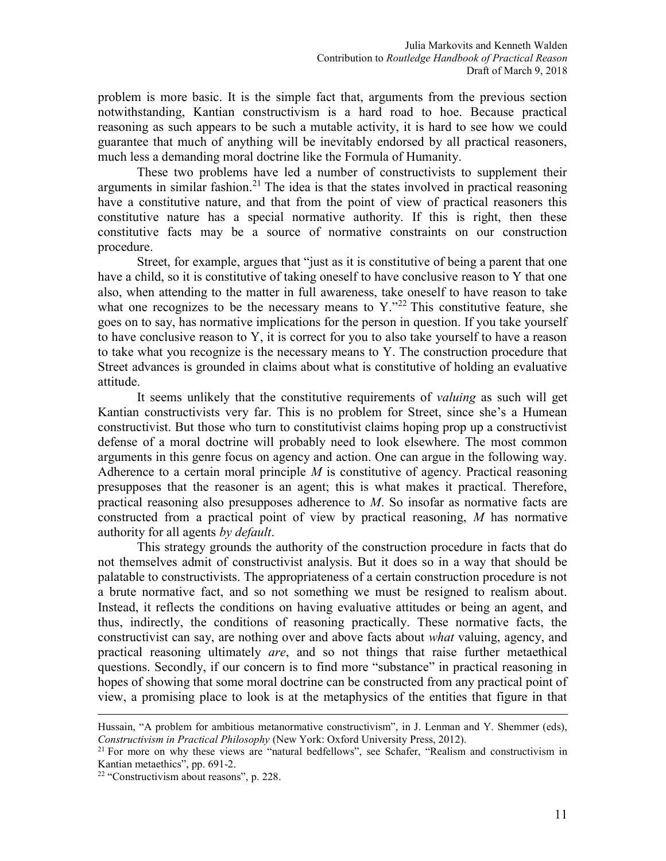problem is more basic. It is the simple fact that, arguments from the previous section notwithstanding, Kantian constructivism is a hard road to hoe. Because practical reasoning as such appears to be such a mutable activity, it is hard to see how we could guarantee that much of anything will be inevitably endorsed by all practical reasoners, much less a demanding moral doctrine like the Formula of Humanity.

 These two problems have led a number of constructivists to supplement their arguments in similar fashion.<sup>21</sup> The idea is that the states involved in practical reasoning have a constitutive nature, and that from the point of view of practical reasoners this constitutive nature has a special normative authority. If this is right, then these constitutive facts may be a source of normative constraints on our construction procedure.

Street, for example, argues that "just as it is constitutive of being a parent that one have a child, so it is constitutive of taking oneself to have conclusive reason to Y that one also, when attending to the matter in full awareness, take oneself to have reason to take what one recognizes to be the necessary means to  $Y.^{322}$  This constitutive feature, she goes on to say, has normative implications for the person in question. If you take yourself to have conclusive reason to Y, it is correct for you to also take yourself to have a reason to take what you recognize is the necessary means to Y. The construction procedure that Street advances is grounded in claims about what is constitutive of holding an evaluative attitude.

It seems unlikely that the constitutive requirements of *valuing* as such will get Kantian constructivists very far. This is no problem for Street, since she's a Humean constructivist. But those who turn to constitutivist claims hoping prop up a constructivist defense of a moral doctrine will probably need to look elsewhere. The most common arguments in this genre focus on agency and action. One can argue in the following way. Adherence to a certain moral principle  $M$  is constitutive of agency. Practical reasoning presupposes that the reasoner is an agent; this is what makes it practical. Therefore, practical reasoning also presupposes adherence to M. So insofar as normative facts are constructed from a practical point of view by practical reasoning, M has normative authority for all agents by default.

 This strategy grounds the authority of the construction procedure in facts that do not themselves admit of constructivist analysis. But it does so in a way that should be palatable to constructivists. The appropriateness of a certain construction procedure is not a brute normative fact, and so not something we must be resigned to realism about. Instead, it reflects the conditions on having evaluative attitudes or being an agent, and thus, indirectly, the conditions of reasoning practically. These normative facts, the constructivist can say, are nothing over and above facts about what valuing, agency, and practical reasoning ultimately are, and so not things that raise further metaethical questions. Secondly, if our concern is to find more "substance" in practical reasoning in hopes of showing that some moral doctrine can be constructed from any practical point of view, a promising place to look is at the metaphysics of the entities that figure in that

Hussain, "A problem for ambitious metanormative constructivism", in J. Lenman and Y. Shemmer (eds), Constructivism in Practical Philosophy (New York: Oxford University Press, 2012).

<sup>&</sup>lt;sup>21</sup> For more on why these views are "natural bedfellows", see Schafer, "Realism and constructivism in Kantian metaethics", pp. 691-2.

<sup>&</sup>lt;sup>22</sup> "Constructivism about reasons", p. 228.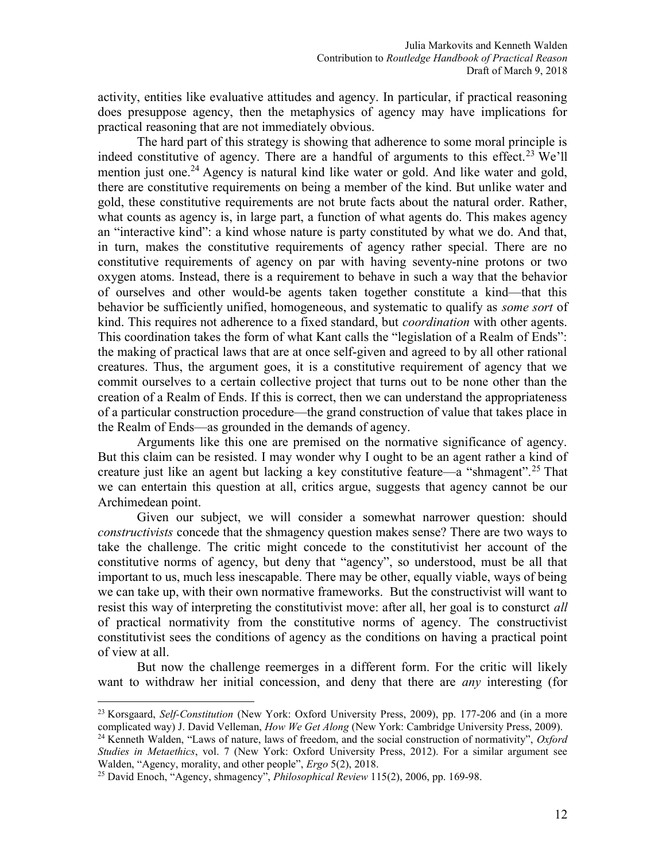activity, entities like evaluative attitudes and agency. In particular, if practical reasoning does presuppose agency, then the metaphysics of agency may have implications for practical reasoning that are not immediately obvious.

 The hard part of this strategy is showing that adherence to some moral principle is indeed constitutive of agency. There are a handful of arguments to this effect.<sup>23</sup> We'll mention just one.<sup>24</sup> Agency is natural kind like water or gold. And like water and gold, there are constitutive requirements on being a member of the kind. But unlike water and gold, these constitutive requirements are not brute facts about the natural order. Rather, what counts as agency is, in large part, a function of what agents do. This makes agency an "interactive kind": a kind whose nature is party constituted by what we do. And that, in turn, makes the constitutive requirements of agency rather special. There are no constitutive requirements of agency on par with having seventy-nine protons or two oxygen atoms. Instead, there is a requirement to behave in such a way that the behavior of ourselves and other would-be agents taken together constitute a kind—that this behavior be sufficiently unified, homogeneous, and systematic to qualify as *some sort* of kind. This requires not adherence to a fixed standard, but *coordination* with other agents. This coordination takes the form of what Kant calls the "legislation of a Realm of Ends": the making of practical laws that are at once self-given and agreed to by all other rational creatures. Thus, the argument goes, it is a constitutive requirement of agency that we commit ourselves to a certain collective project that turns out to be none other than the creation of a Realm of Ends. If this is correct, then we can understand the appropriateness of a particular construction procedure—the grand construction of value that takes place in the Realm of Ends—as grounded in the demands of agency.

 Arguments like this one are premised on the normative significance of agency. But this claim can be resisted. I may wonder why I ought to be an agent rather a kind of creature just like an agent but lacking a key constitutive feature—a "shmagent".<sup>25</sup> That we can entertain this question at all, critics argue, suggests that agency cannot be our Archimedean point.

Given our subject, we will consider a somewhat narrower question: should constructivists concede that the shmagency question makes sense? There are two ways to take the challenge. The critic might concede to the constitutivist her account of the constitutive norms of agency, but deny that "agency", so understood, must be all that important to us, much less inescapable. There may be other, equally viable, ways of being we can take up, with their own normative frameworks. But the constructivist will want to resist this way of interpreting the constitutivist move: after all, her goal is to consturct all of practical normativity from the constitutive norms of agency. The constructivist constitutivist sees the conditions of agency as the conditions on having a practical point of view at all.

But now the challenge reemerges in a different form. For the critic will likely want to withdraw her initial concession, and deny that there are *any* interesting (for

<sup>&</sup>lt;sup>23</sup> Korsgaard, *Self-Constitution* (New York: Oxford University Press, 2009), pp. 177-206 and (in a more complicated way) J. David Velleman, How We Get Along (New York: Cambridge University Press, 2009).

<sup>&</sup>lt;sup>24</sup> Kenneth Walden, "Laws of nature, laws of freedom, and the social construction of normativity", *Oxford* Studies in Metaethics, vol. 7 (New York: Oxford University Press, 2012). For a similar argument see Walden, "Agency, morality, and other people", Ergo 5(2), 2018.

<sup>&</sup>lt;sup>25</sup> David Enoch, "Agency, shmagency", *Philosophical Review* 115(2), 2006, pp. 169-98.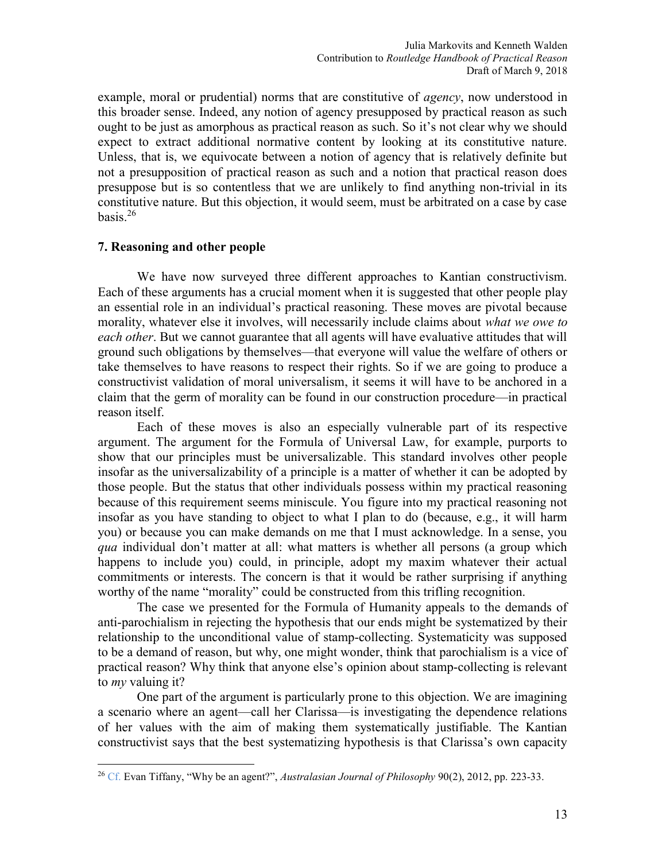example, moral or prudential) norms that are constitutive of *agency*, now understood in this broader sense. Indeed, any notion of agency presupposed by practical reason as such ought to be just as amorphous as practical reason as such. So it's not clear why we should expect to extract additional normative content by looking at its constitutive nature. Unless, that is, we equivocate between a notion of agency that is relatively definite but not a presupposition of practical reason as such and a notion that practical reason does presuppose but is so contentless that we are unlikely to find anything non-trivial in its constitutive nature. But this objection, it would seem, must be arbitrated on a case by case  $hasis.$ <sup>26</sup>

#### 7. Reasoning and other people

l

 We have now surveyed three different approaches to Kantian constructivism. Each of these arguments has a crucial moment when it is suggested that other people play an essential role in an individual's practical reasoning. These moves are pivotal because morality, whatever else it involves, will necessarily include claims about what we owe to each other. But we cannot guarantee that all agents will have evaluative attitudes that will ground such obligations by themselves—that everyone will value the welfare of others or take themselves to have reasons to respect their rights. So if we are going to produce a constructivist validation of moral universalism, it seems it will have to be anchored in a claim that the germ of morality can be found in our construction procedure—in practical reason itself.

Each of these moves is also an especially vulnerable part of its respective argument. The argument for the Formula of Universal Law, for example, purports to show that our principles must be universalizable. This standard involves other people insofar as the universalizability of a principle is a matter of whether it can be adopted by those people. But the status that other individuals possess within my practical reasoning because of this requirement seems miniscule. You figure into my practical reasoning not insofar as you have standing to object to what I plan to do (because, e.g., it will harm you) or because you can make demands on me that I must acknowledge. In a sense, you qua individual don't matter at all: what matters is whether all persons (a group which happens to include you) could, in principle, adopt my maxim whatever their actual commitments or interests. The concern is that it would be rather surprising if anything worthy of the name "morality" could be constructed from this trifling recognition.

The case we presented for the Formula of Humanity appeals to the demands of anti-parochialism in rejecting the hypothesis that our ends might be systematized by their relationship to the unconditional value of stamp-collecting. Systematicity was supposed to be a demand of reason, but why, one might wonder, think that parochialism is a vice of practical reason? Why think that anyone else's opinion about stamp-collecting is relevant to  $my$  valuing it?

One part of the argument is particularly prone to this objection. We are imagining a scenario where an agent—call her Clarissa—is investigating the dependence relations of her values with the aim of making them systematically justifiable. The Kantian constructivist says that the best systematizing hypothesis is that Clarissa's own capacity

<sup>&</sup>lt;sup>26</sup> Cf. Evan Tiffany, "Why be an agent?", Australasian Journal of Philosophy 90(2), 2012, pp. 223-33.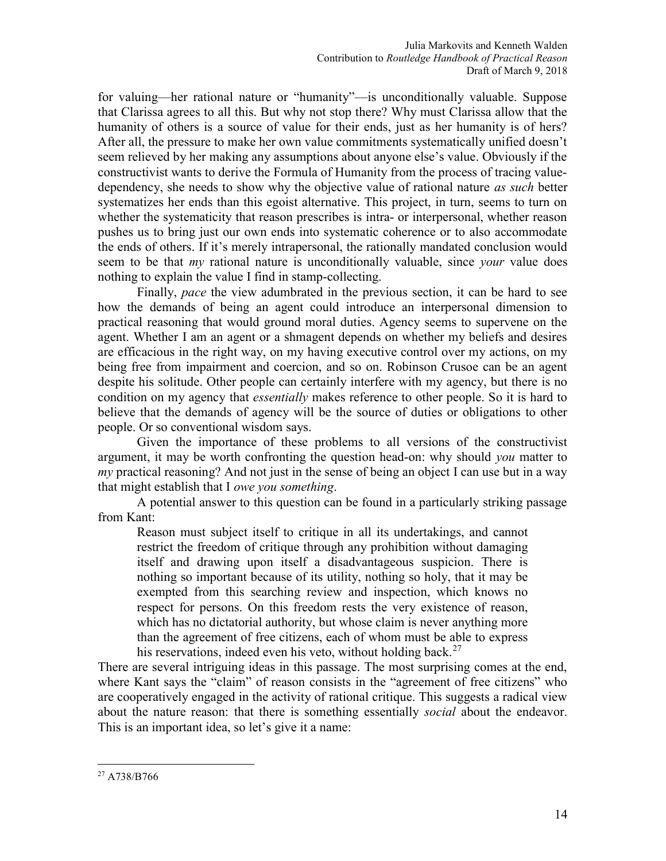for valuing—her rational nature or "humanity"—is unconditionally valuable. Suppose that Clarissa agrees to all this. But why not stop there? Why must Clarissa allow that the humanity of others is a source of value for their ends, just as her humanity is of hers? After all, the pressure to make her own value commitments systematically unified doesn't seem relieved by her making any assumptions about anyone else's value. Obviously if the constructivist wants to derive the Formula of Humanity from the process of tracing valuedependency, she needs to show why the objective value of rational nature *as such* better systematizes her ends than this egoist alternative. This project, in turn, seems to turn on whether the systematicity that reason prescribes is intra- or interpersonal, whether reason pushes us to bring just our own ends into systematic coherence or to also accommodate the ends of others. If it's merely intrapersonal, the rationally mandated conclusion would seem to be that *my* rational nature is unconditionally valuable, since *your* value does nothing to explain the value I find in stamp-collecting.

Finally, *pace* the view adumbrated in the previous section, it can be hard to see how the demands of being an agent could introduce an interpersonal dimension to practical reasoning that would ground moral duties. Agency seems to supervene on the agent. Whether I am an agent or a shmagent depends on whether my beliefs and desires are efficacious in the right way, on my having executive control over my actions, on my being free from impairment and coercion, and so on. Robinson Crusoe can be an agent despite his solitude. Other people can certainly interfere with my agency, but there is no condition on my agency that *essentially* makes reference to other people. So it is hard to believe that the demands of agency will be the source of duties or obligations to other people. Or so conventional wisdom says.

Given the importance of these problems to all versions of the constructivist argument, it may be worth confronting the question head-on: why should you matter to  $my$  practical reasoning? And not just in the sense of being an object I can use but in a way that might establish that I owe you something.

A potential answer to this question can be found in a particularly striking passage from Kant:

Reason must subject itself to critique in all its undertakings, and cannot restrict the freedom of critique through any prohibition without damaging itself and drawing upon itself a disadvantageous suspicion. There is nothing so important because of its utility, nothing so holy, that it may be exempted from this searching review and inspection, which knows no respect for persons. On this freedom rests the very existence of reason, which has no dictatorial authority, but whose claim is never anything more than the agreement of free citizens, each of whom must be able to express his reservations, indeed even his veto, without holding back.<sup>27</sup>

There are several intriguing ideas in this passage. The most surprising comes at the end, where Kant says the "claim" of reason consists in the "agreement of free citizens" who are cooperatively engaged in the activity of rational critique. This suggests a radical view about the nature reason: that there is something essentially *social* about the endeavor. This is an important idea, so let's give it a name:

<sup>&</sup>lt;sup>27</sup> A738/B766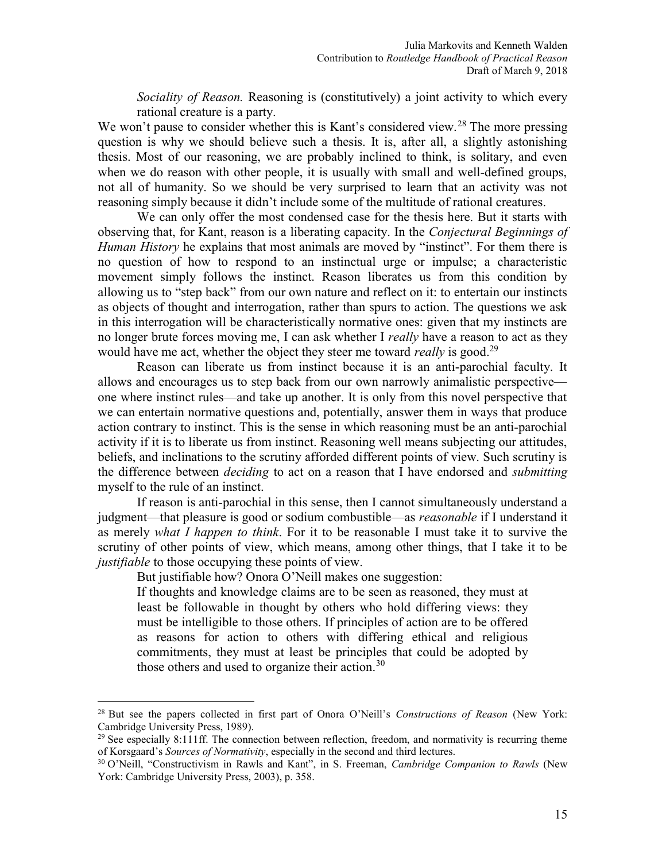Sociality of Reason. Reasoning is (constitutively) a joint activity to which every rational creature is a party.

We won't pause to consider whether this is Kant's considered view.<sup>28</sup> The more pressing question is why we should believe such a thesis. It is, after all, a slightly astonishing thesis. Most of our reasoning, we are probably inclined to think, is solitary, and even when we do reason with other people, it is usually with small and well-defined groups, not all of humanity. So we should be very surprised to learn that an activity was not reasoning simply because it didn't include some of the multitude of rational creatures.

We can only offer the most condensed case for the thesis here. But it starts with observing that, for Kant, reason is a liberating capacity. In the Conjectural Beginnings of Human History he explains that most animals are moved by "instinct". For them there is no question of how to respond to an instinctual urge or impulse; a characteristic movement simply follows the instinct. Reason liberates us from this condition by allowing us to "step back" from our own nature and reflect on it: to entertain our instincts as objects of thought and interrogation, rather than spurs to action. The questions we ask in this interrogation will be characteristically normative ones: given that my instincts are no longer brute forces moving me, I can ask whether I *really* have a reason to act as they would have me act, whether the object they steer me toward *really* is good.<sup>29</sup>

Reason can liberate us from instinct because it is an anti-parochial faculty. It allows and encourages us to step back from our own narrowly animalistic perspective one where instinct rules—and take up another. It is only from this novel perspective that we can entertain normative questions and, potentially, answer them in ways that produce action contrary to instinct. This is the sense in which reasoning must be an anti-parochial activity if it is to liberate us from instinct. Reasoning well means subjecting our attitudes, beliefs, and inclinations to the scrutiny afforded different points of view. Such scrutiny is the difference between *deciding* to act on a reason that I have endorsed and *submitting* myself to the rule of an instinct.

If reason is anti-parochial in this sense, then I cannot simultaneously understand a judgment—that pleasure is good or sodium combustible—as reasonable if I understand it as merely what I happen to think. For it to be reasonable I must take it to survive the scrutiny of other points of view, which means, among other things, that I take it to be justifiable to those occupying these points of view.

But justifiable how? Onora O'Neill makes one suggestion:

l

If thoughts and knowledge claims are to be seen as reasoned, they must at least be followable in thought by others who hold differing views: they must be intelligible to those others. If principles of action are to be offered as reasons for action to others with differing ethical and religious commitments, they must at least be principles that could be adopted by those others and used to organize their action. $30$ 

<sup>&</sup>lt;sup>28</sup> But see the papers collected in first part of Onora O'Neill's *Constructions of Reason* (New York: Cambridge University Press, 1989).

<sup>&</sup>lt;sup>29</sup> See especially 8:111ff. The connection between reflection, freedom, and normativity is recurring theme of Korsgaard's Sources of Normativity, especially in the second and third lectures.

<sup>&</sup>lt;sup>30</sup> O'Neill, "Constructivism in Rawls and Kant", in S. Freeman, *Cambridge Companion to Rawls* (New York: Cambridge University Press, 2003), p. 358.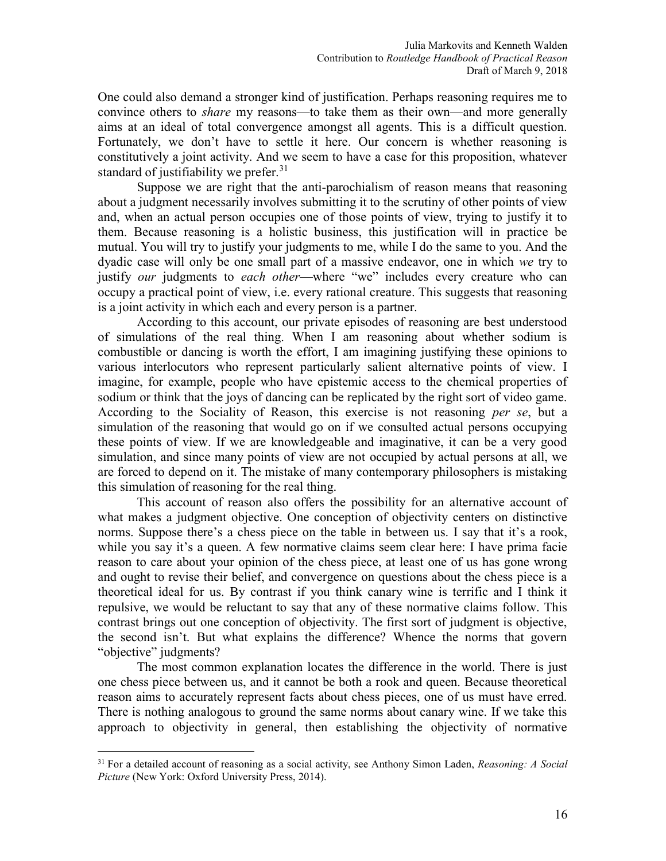One could also demand a stronger kind of justification. Perhaps reasoning requires me to convince others to share my reasons—to take them as their own—and more generally aims at an ideal of total convergence amongst all agents. This is a difficult question. Fortunately, we don't have to settle it here. Our concern is whether reasoning is constitutively a joint activity. And we seem to have a case for this proposition, whatever standard of justifiability we prefer.<sup>31</sup>

Suppose we are right that the anti-parochialism of reason means that reasoning about a judgment necessarily involves submitting it to the scrutiny of other points of view and, when an actual person occupies one of those points of view, trying to justify it to them. Because reasoning is a holistic business, this justification will in practice be mutual. You will try to justify your judgments to me, while I do the same to you. And the dyadic case will only be one small part of a massive endeavor, one in which we try to justify our judgments to each other—where "we" includes every creature who can occupy a practical point of view, i.e. every rational creature. This suggests that reasoning is a joint activity in which each and every person is a partner.

According to this account, our private episodes of reasoning are best understood of simulations of the real thing. When I am reasoning about whether sodium is combustible or dancing is worth the effort, I am imagining justifying these opinions to various interlocutors who represent particularly salient alternative points of view. I imagine, for example, people who have epistemic access to the chemical properties of sodium or think that the joys of dancing can be replicated by the right sort of video game. According to the Sociality of Reason, this exercise is not reasoning *per se*, but a simulation of the reasoning that would go on if we consulted actual persons occupying these points of view. If we are knowledgeable and imaginative, it can be a very good simulation, and since many points of view are not occupied by actual persons at all, we are forced to depend on it. The mistake of many contemporary philosophers is mistaking this simulation of reasoning for the real thing.

This account of reason also offers the possibility for an alternative account of what makes a judgment objective. One conception of objectivity centers on distinctive norms. Suppose there's a chess piece on the table in between us. I say that it's a rook, while you say it's a queen. A few normative claims seem clear here: I have prima facie reason to care about your opinion of the chess piece, at least one of us has gone wrong and ought to revise their belief, and convergence on questions about the chess piece is a theoretical ideal for us. By contrast if you think canary wine is terrific and I think it repulsive, we would be reluctant to say that any of these normative claims follow. This contrast brings out one conception of objectivity. The first sort of judgment is objective, the second isn't. But what explains the difference? Whence the norms that govern "objective" judgments?

The most common explanation locates the difference in the world. There is just one chess piece between us, and it cannot be both a rook and queen. Because theoretical reason aims to accurately represent facts about chess pieces, one of us must have erred. There is nothing analogous to ground the same norms about canary wine. If we take this approach to objectivity in general, then establishing the objectivity of normative

 $31$  For a detailed account of reasoning as a social activity, see Anthony Simon Laden, *Reasoning: A Social* Picture (New York: Oxford University Press, 2014).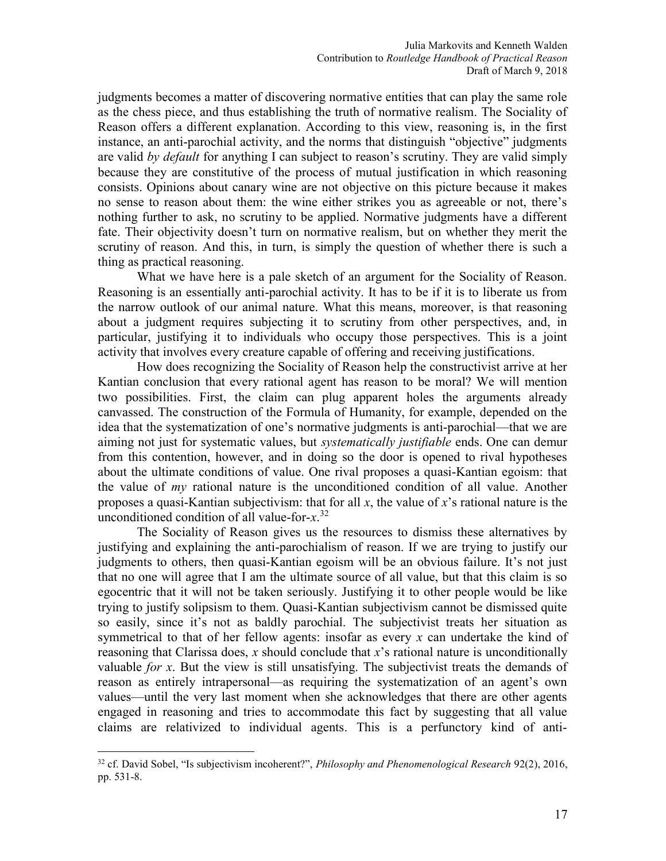judgments becomes a matter of discovering normative entities that can play the same role as the chess piece, and thus establishing the truth of normative realism. The Sociality of Reason offers a different explanation. According to this view, reasoning is, in the first instance, an anti-parochial activity, and the norms that distinguish "objective" judgments are valid by *default* for anything I can subject to reason's scrutiny. They are valid simply because they are constitutive of the process of mutual justification in which reasoning consists. Opinions about canary wine are not objective on this picture because it makes no sense to reason about them: the wine either strikes you as agreeable or not, there's nothing further to ask, no scrutiny to be applied. Normative judgments have a different fate. Their objectivity doesn't turn on normative realism, but on whether they merit the scrutiny of reason. And this, in turn, is simply the question of whether there is such a thing as practical reasoning.

What we have here is a pale sketch of an argument for the Sociality of Reason. Reasoning is an essentially anti-parochial activity. It has to be if it is to liberate us from the narrow outlook of our animal nature. What this means, moreover, is that reasoning about a judgment requires subjecting it to scrutiny from other perspectives, and, in particular, justifying it to individuals who occupy those perspectives. This is a joint activity that involves every creature capable of offering and receiving justifications.

How does recognizing the Sociality of Reason help the constructivist arrive at her Kantian conclusion that every rational agent has reason to be moral? We will mention two possibilities. First, the claim can plug apparent holes the arguments already canvassed. The construction of the Formula of Humanity, for example, depended on the idea that the systematization of one's normative judgments is anti-parochial—that we are aiming not just for systematic values, but *systematically justifiable* ends. One can demur from this contention, however, and in doing so the door is opened to rival hypotheses about the ultimate conditions of value. One rival proposes a quasi-Kantian egoism: that the value of my rational nature is the unconditioned condition of all value. Another proposes a quasi-Kantian subjectivism: that for all x, the value of x's rational nature is the unconditioned condition of all value-for- $x^{32}$ 

The Sociality of Reason gives us the resources to dismiss these alternatives by justifying and explaining the anti-parochialism of reason. If we are trying to justify our judgments to others, then quasi-Kantian egoism will be an obvious failure. It's not just that no one will agree that I am the ultimate source of all value, but that this claim is so egocentric that it will not be taken seriously. Justifying it to other people would be like trying to justify solipsism to them. Quasi-Kantian subjectivism cannot be dismissed quite so easily, since it's not as baldly parochial. The subjectivist treats her situation as symmetrical to that of her fellow agents: insofar as every  $x$  can undertake the kind of reasoning that Clarissa does, x should conclude that x's rational nature is unconditionally valuable *for x*. But the view is still unsatisfying. The subjectivist treats the demands of reason as entirely intrapersonal—as requiring the systematization of an agent's own values—until the very last moment when she acknowledges that there are other agents engaged in reasoning and tries to accommodate this fact by suggesting that all value claims are relativized to individual agents. This is a perfunctory kind of anti-

 $32$  cf. David Sobel, "Is subjectivism incoherent?", *Philosophy and Phenomenological Research* 92(2), 2016, pp. 531-8.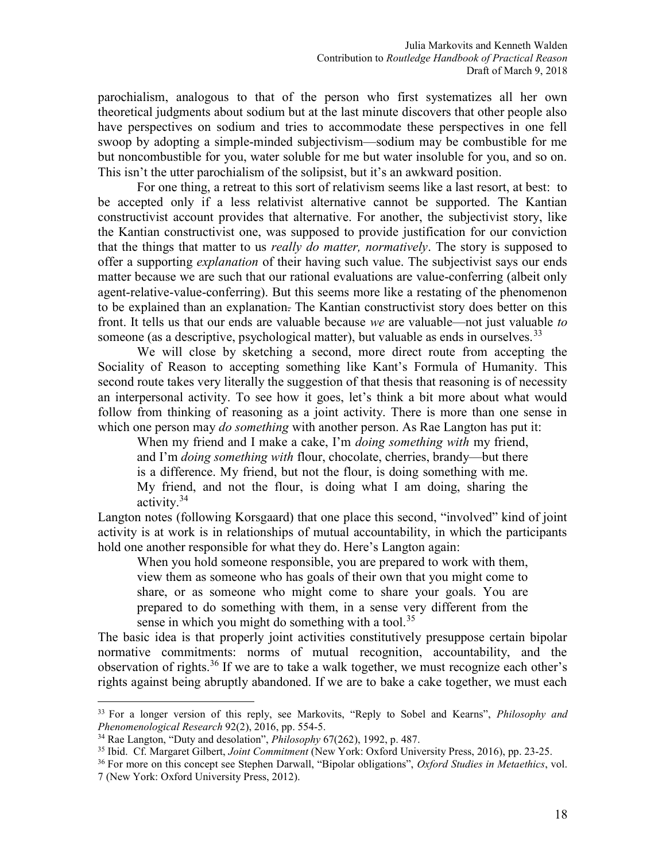parochialism, analogous to that of the person who first systematizes all her own theoretical judgments about sodium but at the last minute discovers that other people also have perspectives on sodium and tries to accommodate these perspectives in one fell swoop by adopting a simple-minded subjectivism—sodium may be combustible for me but noncombustible for you, water soluble for me but water insoluble for you, and so on. This isn't the utter parochialism of the solipsist, but it's an awkward position.

For one thing, a retreat to this sort of relativism seems like a last resort, at best: to be accepted only if a less relativist alternative cannot be supported. The Kantian constructivist account provides that alternative. For another, the subjectivist story, like the Kantian constructivist one, was supposed to provide justification for our conviction that the things that matter to us *really do matter, normatively*. The story is supposed to offer a supporting *explanation* of their having such value. The subjectivist says our ends matter because we are such that our rational evaluations are value-conferring (albeit only agent-relative-value-conferring). But this seems more like a restating of the phenomenon to be explained than an explanation. The Kantian constructivist story does better on this front. It tells us that our ends are valuable because we are valuable—not just valuable to someone (as a descriptive, psychological matter), but valuable as ends in ourselves.  $33$ 

We will close by sketching a second, more direct route from accepting the Sociality of Reason to accepting something like Kant's Formula of Humanity. This second route takes very literally the suggestion of that thesis that reasoning is of necessity an interpersonal activity. To see how it goes, let's think a bit more about what would follow from thinking of reasoning as a joint activity. There is more than one sense in which one person may *do something* with another person. As Rae Langton has put it:

When my friend and I make a cake, I'm *doing something with* my friend, and I'm doing something with flour, chocolate, cherries, brandy—but there is a difference. My friend, but not the flour, is doing something with me. My friend, and not the flour, is doing what I am doing, sharing the activity.<sup>34</sup>

Langton notes (following Korsgaard) that one place this second, "involved" kind of joint activity is at work is in relationships of mutual accountability, in which the participants hold one another responsible for what they do. Here's Langton again:

When you hold someone responsible, you are prepared to work with them, view them as someone who has goals of their own that you might come to share, or as someone who might come to share your goals. You are prepared to do something with them, in a sense very different from the sense in which you might do something with a tool. $35$ 

The basic idea is that properly joint activities constitutively presuppose certain bipolar normative commitments: norms of mutual recognition, accountability, and the observation of rights.<sup>36</sup> If we are to take a walk together, we must recognize each other's rights against being abruptly abandoned. If we are to bake a cake together, we must each

<sup>&</sup>lt;sup>33</sup> For a longer version of this reply, see Markovits, "Reply to Sobel and Kearns", *Philosophy and* Phenomenological Research 92(2), 2016, pp. 554-5.

 $34$  Rae Langton, "Duty and desolation", *Philosophy* 67(262), 1992, p. 487.

<sup>&</sup>lt;sup>35</sup> Ibid. Cf. Margaret Gilbert, *Joint Commitment* (New York: Oxford University Press, 2016), pp. 23-25.

 $36$  For more on this concept see Stephen Darwall, "Bipolar obligations", Oxford Studies in Metaethics, vol. 7 (New York: Oxford University Press, 2012).